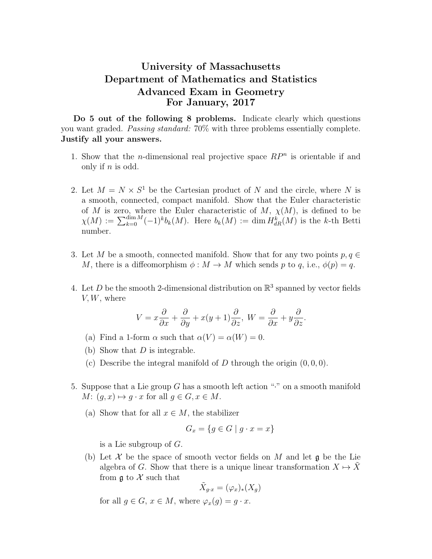## University of Massachusetts Department of Mathematics and Statistics Advanced Exam in Geometry For January, 2017

Do 5 out of the following 8 problems. Indicate clearly which questions you want graded. Passing standard: 70% with three problems essentially complete. Justify all your answers.

- 1. Show that the *n*-dimensional real projective space  $RP<sup>n</sup>$  is orientable if and only if  $n$  is odd.
- 2. Let  $M = N \times S^1$  be the Cartesian product of N and the circle, where N is a smooth, connected, compact manifold. Show that the Euler characteristic of M is zero, where the Euler characteristic of M,  $\chi(M)$ , is defined to be  $\chi(M) := \sum_{k=0}^{\dim M} (-1)^k b_k(M)$ . Here  $b_k(M) := \dim H_{dR}^k(M)$  is the k-th Betti number.
- 3. Let M be a smooth, connected manifold. Show that for any two points  $p, q \in$ M, there is a diffeomorphism  $\phi : M \to M$  which sends p to q, i.e.,  $\phi(p) = q$ .
- 4. Let D be the smooth 2-dimensional distribution on  $\mathbb{R}^3$  spanned by vector fields  $V, W$ , where

$$
V = x\frac{\partial}{\partial x} + \frac{\partial}{\partial y} + x(y+1)\frac{\partial}{\partial z}, \ W = \frac{\partial}{\partial x} + y\frac{\partial}{\partial z}.
$$

- (a) Find a 1-form  $\alpha$  such that  $\alpha(V) = \alpha(W) = 0$ .
- (b) Show that  $D$  is integrable.
- (c) Describe the integral manifold of D through the origin  $(0, 0, 0)$ .
- 5. Suppose that a Lie group  $G$  has a smooth left action " $\cdot$ " on a smooth manifold  $M: (g, x) \mapsto g \cdot x$  for all  $g \in G, x \in M$ .
	- (a) Show that for all  $x \in M$ , the stabilizer

$$
G_x = \{ g \in G \mid g \cdot x = x \}
$$

is a Lie subgroup of  $G$ .

(b) Let X be the space of smooth vector fields on M and let  $\mathfrak g$  be the Lie algebra of G. Show that there is a unique linear transformation  $X \mapsto \tilde{X}$ from  $\mathfrak g$  to X such that

$$
\tilde{X}_{g\cdot x} = (\varphi_x)_*(X_g)
$$

for all  $g \in G$ ,  $x \in M$ , where  $\varphi_x(g) = g \cdot x$ .